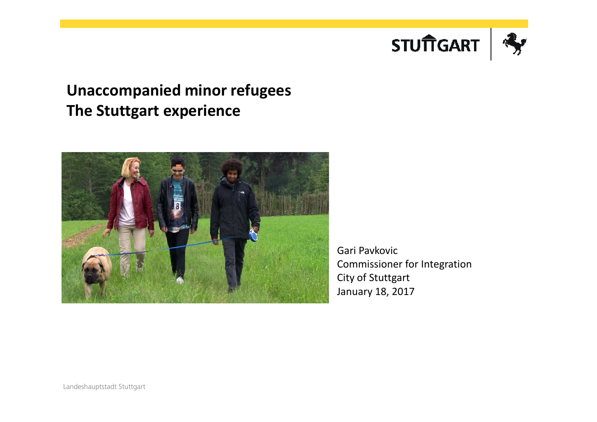

#### **Unaccompanied minor refugees The Stuttgart experience**



Gari Pavkovic Commissioner for IntegrationCity of Stuttgart January 18, 2017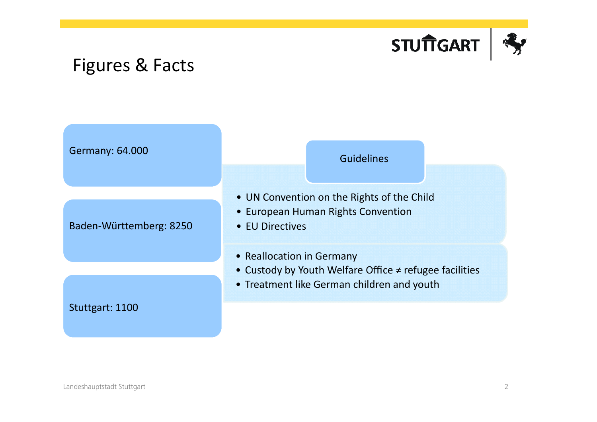

## Figures & Facts

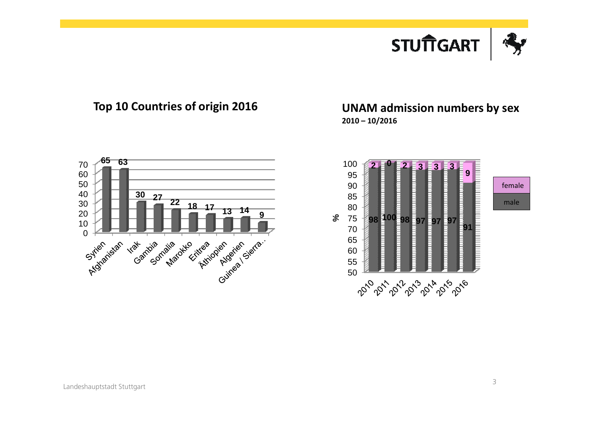





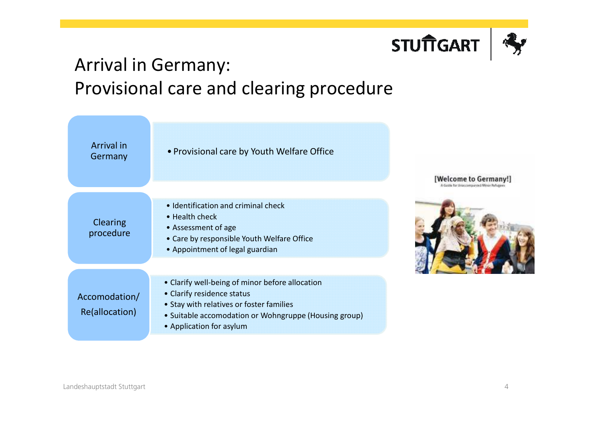

## Arrival in Germany:Provisional care and clearing procedure

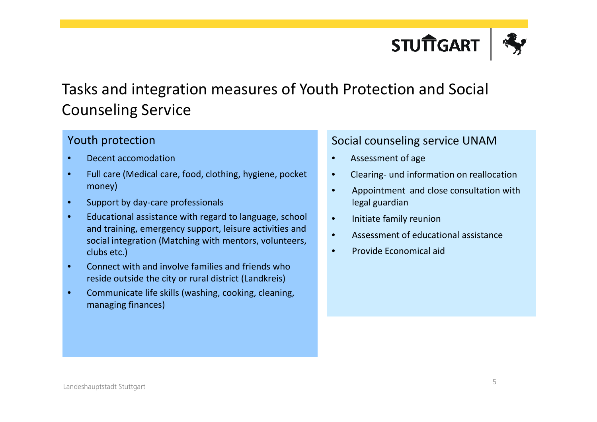

#### Tasks and integration measures of Youth Protection and Social Counseling Service

#### Youth protection

- •Decent accomodation
- • Full care (Medical care, food, clothing, hygiene, pocket money)
- •Support by day-care professionals
- • Educational assistance with regard to language, school and training, emergency support, leisure activities and social integration (Matching with mentors, volunteers, clubs etc.)
- • Connect with and involve families and friends whoreside outside the city or rural district (Landkreis)
- • Communicate life skills (washing, cooking, cleaning, managing finances)

#### Social counseling service UNAM

- •Assessment of age
- •Clearing- und information on reallocation
- • Appointment and close consultation withlegal guardian
- •Initiate family reunion
- •Assessment of educational assistance
- •Provide Economical aid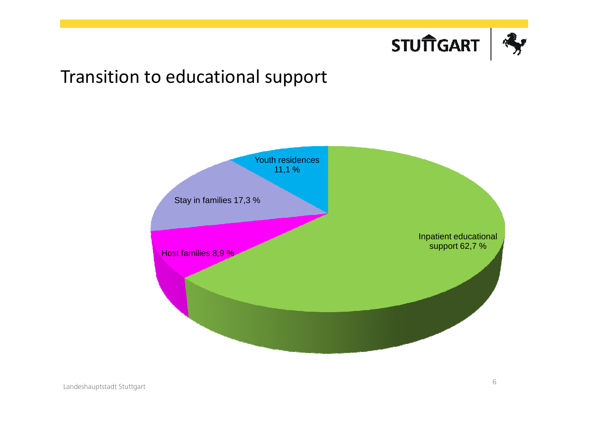

## Transition to educational support

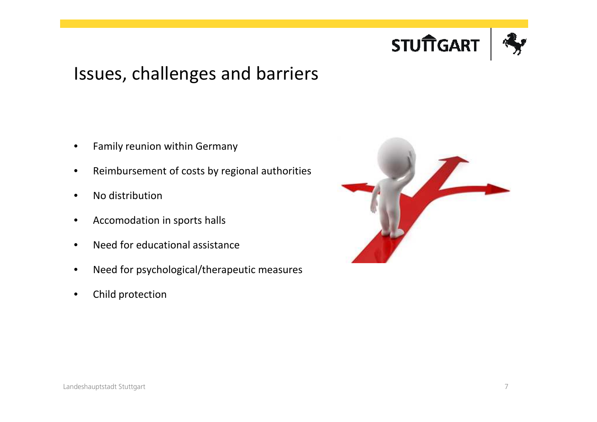

## Issues, challenges and barriers

- •Family reunion within Germany
- •Reimbursement of costs by regional authorities
- •No distribution
- •Accomodation in sports halls
- •Need for educational assistance
- $\bullet$ Need for psychological/therapeutic measures
- •Child protection

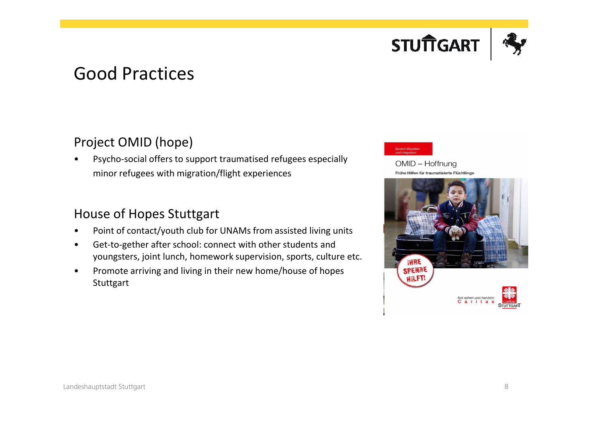

## Good Practices

#### Project OMID (hope)

• Psycho-social offers to support traumatised refugees especially minor refugees with migration/flight experiences

#### House of Hopes Stuttgart

- •Point of contact/youth club for UNAMs from assisted living units
- • Get-to-gether after school: connect with other students andyoungsters, joint lunch, homework supervision, sports, culture etc.
- • Promote arriving and living in their new home/house of hopes **Stuttgart**



OMID - Hoffnung Frühe Hilfen für traumatisierte Flüchtlinge